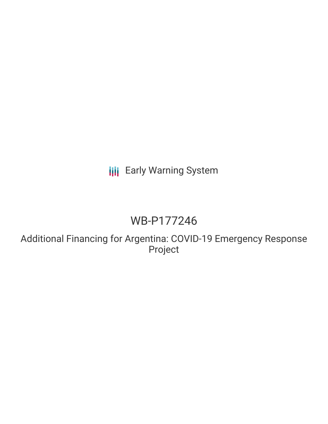# **III** Early Warning System

# WB-P177246

Additional Financing for Argentina: COVID-19 Emergency Response Project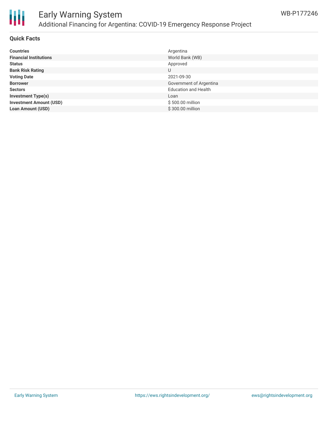

# Early Warning System Additional Financing for Argentina: COVID-19 Emergency Response Project

## **Quick Facts**

| <b>Countries</b>               | Argentina                   |
|--------------------------------|-----------------------------|
| <b>Financial Institutions</b>  | World Bank (WB)             |
| <b>Status</b>                  | Approved                    |
| <b>Bank Risk Rating</b>        | U                           |
| <b>Voting Date</b>             | 2021-09-30                  |
| <b>Borrower</b>                | Government of Argentina     |
| <b>Sectors</b>                 | <b>Education and Health</b> |
| <b>Investment Type(s)</b>      | Loan                        |
| <b>Investment Amount (USD)</b> | \$500.00 million            |
| <b>Loan Amount (USD)</b>       | \$300.00 million            |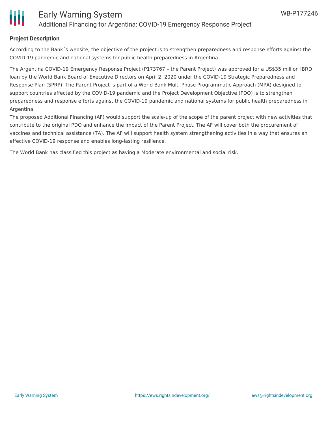

# **Project Description**

According to the Bank´s website, the objective of the project is to strengthen preparedness and response efforts against the COVID-19 pandemic and national systems for public health preparedness in Argentina.

The Argentina COVID-19 Emergency Response Project (P173767 – the Parent Project) was approved for a US\$35 million IBRD loan by the World Bank Board of Executive Directors on April 2, 2020 under the COVID-19 Strategic Preparedness and Response Plan (SPRP). The Parent Project is part of a World Bank Multi-Phase Programmatic Approach (MPA) designed to support countries affected by the COVID-19 pandemic and the Project Development Objective (PDO) is to strengthen preparedness and response efforts against the COVID-19 pandemic and national systems for public health preparedness in Argentina.

The proposed Additional Financing (AF) would support the scale-up of the scope of the parent project with new activities that contribute to the original PDO and enhance the impact of the Parent Project. The AF will cover both the procurement of vaccines and technical assistance (TA). The AF will support health system strengthening activities in a way that ensures an effective COVID-19 response and enables long-lasting resilience.

The World Bank has classified this project as having a Moderate environmental and social risk.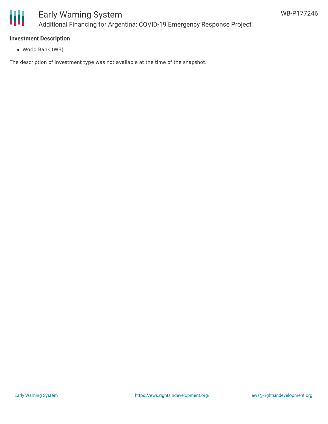

## **Investment Description**

World Bank (WB)

The description of investment type was not available at the time of the snapshot.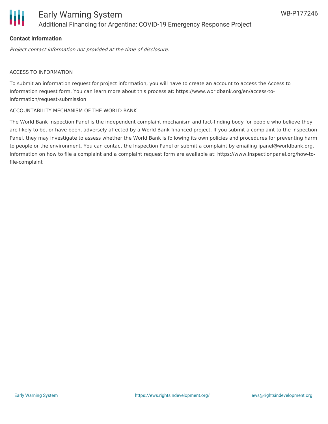

# **Contact Information**

Project contact information not provided at the time of disclosure.

#### ACCESS TO INFORMATION

To submit an information request for project information, you will have to create an account to access the Access to Information request form. You can learn more about this process at: https://www.worldbank.org/en/access-toinformation/request-submission

#### ACCOUNTABILITY MECHANISM OF THE WORLD BANK

The World Bank Inspection Panel is the independent complaint mechanism and fact-finding body for people who believe they are likely to be, or have been, adversely affected by a World Bank-financed project. If you submit a complaint to the Inspection Panel, they may investigate to assess whether the World Bank is following its own policies and procedures for preventing harm to people or the environment. You can contact the Inspection Panel or submit a complaint by emailing ipanel@worldbank.org. Information on how to file a complaint and a complaint request form are available at: https://www.inspectionpanel.org/how-tofile-complaint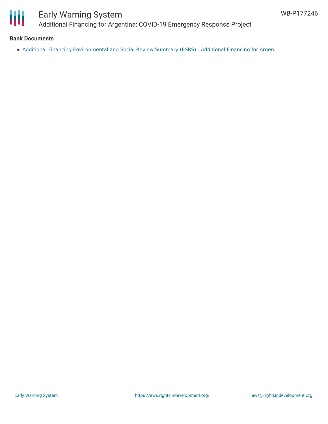

# Early Warning System Additional Financing for Argentina: COVID-19 Emergency Response Project

## **Bank Documents**

Additional Financing [Environmental](http://documents.worldbank.org/curated/en/533471627933067303/Additional-Financing-Environmental-and-Social-Review-Summary-ESRS-Additional-Financing-for-Argentina-COVID-19-Emergency-Response-Project-P1) and Social Review Summary (ESRS) - Additional Financing for Argen